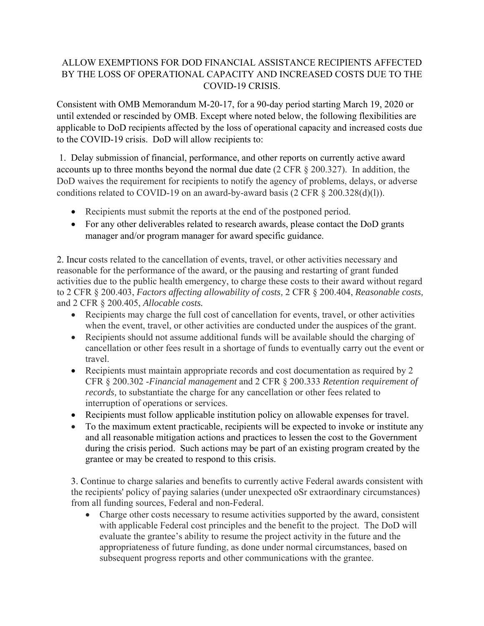## ALLOW EXEMPTIONS FOR DOD FINANCIAL ASSISTANCE RECIPIENTS AFFECTED BY THE LOSS OF OPERATIONAL CAPACITY AND INCREASED COSTS DUE TO THE COVID-19 CRISIS.

Consistent with OMB Memorandum M-20-17, for a 90-day period starting March 19, 2020 or until extended or rescinded by OMB. Except where noted below, the following flexibilities are applicable to DoD recipients affected by the loss of operational capacity and increased costs due to the COVID-19 crisis. DoD will allow recipients to:

 1. Delay submission of financial, performance, and other reports on currently active award accounts up to three months beyond the normal due date (2 CFR § 200.327). In addition, the DoD waives the requirement for recipients to notify the agency of problems, delays, or adverse conditions related to COVID-19 on an award-by-award basis (2 CFR § 200.328(d)(l)).

- Recipients must submit the reports at the end of the postponed period.
- For any other deliverables related to research awards, please contact the DoD grants manager and/or program manager for award specific guidance.

2. Incur costs related to the cancellation of events, travel, or other activities necessary and reasonable for the performance of the award, or the pausing and restarting of grant funded activities due to the public health emergency, to charge these costs to their award without regard to 2 CFR § 200.403, *Factors affecting allowability of costs,* 2 CFR § 200.404, *Reasonable costs,*  and 2 CFR § 200.405, *Allocable costs.* 

- Recipients may charge the full cost of cancellation for events, travel, or other activities when the event, travel, or other activities are conducted under the auspices of the grant.
- Recipients should not assume additional funds will be available should the charging of cancellation or other fees result in a shortage of funds to eventually carry out the event or travel.
- Recipients must maintain appropriate records and cost documentation as required by 2 CFR § 200.302 -*Financial management* and 2 CFR § 200.333 *Retention requirement of records,* to substantiate the charge for any cancellation or other fees related to interruption of operations or services.
- Recipients must follow applicable institution policy on allowable expenses for travel.
- To the maximum extent practicable, recipients will be expected to invoke or institute any and all reasonable mitigation actions and practices to lessen the cost to the Government during the crisis period. Such actions may be part of an existing program created by the grantee or may be created to respond to this crisis.

3. Continue to charge salaries and benefits to currently active Federal awards consistent with the recipients' policy of paying salaries (under unexpected oSr extraordinary circumstances) from all funding sources, Federal and non-Federal.

 Charge other costs necessary to resume activities supported by the award, consistent with applicable Federal cost principles and the benefit to the project. The DoD will evaluate the grantee's ability to resume the project activity in the future and the appropriateness of future funding, as done under normal circumstances, based on subsequent progress reports and other communications with the grantee.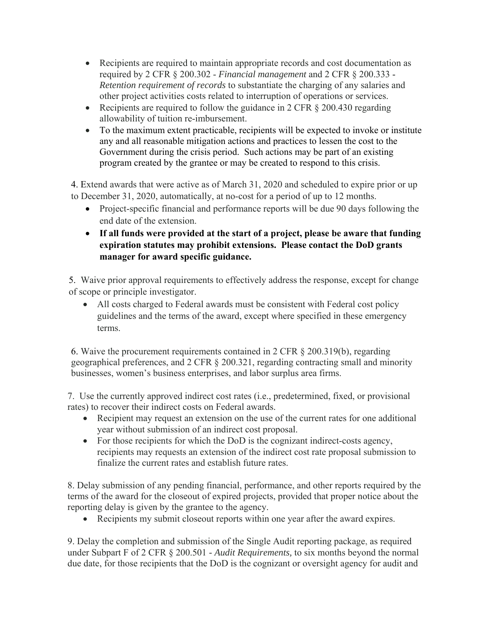- Recipients are required to maintain appropriate records and cost documentation as required by 2 CFR § 200.302 - *Financial management* and 2 CFR § 200.333 - *Retention requirement of records* to substantiate the charging of any salaries and other project activities costs related to interruption of operations or services.
- Recipients are required to follow the guidance in 2 CFR  $\S$  200.430 regarding allowability of tuition re-imbursement.
- To the maximum extent practicable, recipients will be expected to invoke or institute any and all reasonable mitigation actions and practices to lessen the cost to the Government during the crisis period. Such actions may be part of an existing program created by the grantee or may be created to respond to this crisis.

4. Extend awards that were active as of March 31, 2020 and scheduled to expire prior or up to December 31, 2020, automatically, at no-cost for a period of up to 12 months.

- Project-specific financial and performance reports will be due 90 days following the end date of the extension.
- **If all funds were provided at the start of a project, please be aware that funding expiration statutes may prohibit extensions. Please contact the DoD grants manager for award specific guidance.**

5.Waive prior approval requirements to effectively address the response, except for change of scope or principle investigator.

 All costs charged to Federal awards must be consistent with Federal cost policy guidelines and the terms of the award, except where specified in these emergency terms.

6. Waive the procurement requirements contained in 2 CFR § 200.319(b), regarding geographical preferences, and 2 CFR § 200.321, regarding contracting small and minority businesses, women's business enterprises, and labor surplus area firms.

7. Use the currently approved indirect cost rates (i.e., predetermined, fixed, or provisional rates) to recover their indirect costs on Federal awards.

- Recipient may request an extension on the use of the current rates for one additional year without submission of an indirect cost proposal.
- For those recipients for which the DoD is the cognizant indirect-costs agency, recipients may requests an extension of the indirect cost rate proposal submission to finalize the current rates and establish future rates.

8. Delay submission of any pending financial, performance, and other reports required by the terms of the award for the closeout of expired projects, provided that proper notice about the reporting delay is given by the grantee to the agency.

Recipients my submit closeout reports within one year after the award expires.

9. Delay the completion and submission of the Single Audit reporting package, as required under Subpart F of 2 CFR § 200.501 *- Audit Requirements,* to six months beyond the normal due date, for those recipients that the DoD is the cognizant or oversight agency for audit and